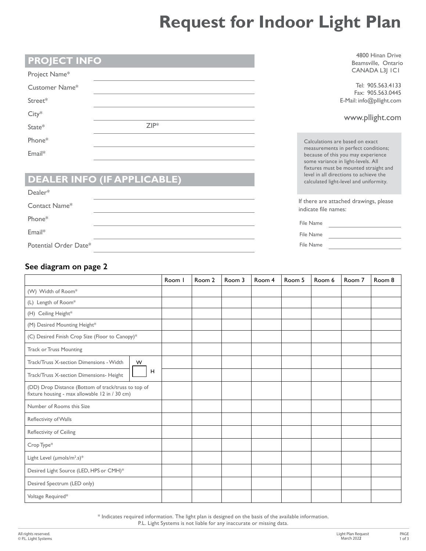## **Request for Indoor Light Plan**

| <b>PROJECT INFO</b>                |         | 4800 Hinan Drive<br>Beamsville, Ontario                                                                                                                  |  |  |  |  |
|------------------------------------|---------|----------------------------------------------------------------------------------------------------------------------------------------------------------|--|--|--|--|
| Project Name*                      |         | CANADA L3  ICI                                                                                                                                           |  |  |  |  |
| Customer Name*                     |         | Tel: 905.563.4133<br>Fax: 905.563.0445                                                                                                                   |  |  |  |  |
| Street*                            |         | E-Mail: info@pllight.com                                                                                                                                 |  |  |  |  |
| $City*$                            |         | www.pllight.com                                                                                                                                          |  |  |  |  |
| State*                             | $ZIP^*$ |                                                                                                                                                          |  |  |  |  |
| Phone*                             |         | Calculations are based on exact                                                                                                                          |  |  |  |  |
| Email*                             |         | measurements in perfect conditions;<br>because of this you may experience<br>some variance in light-levels. All<br>fixtures must be mounted straight and |  |  |  |  |
| <b>DEALER INFO (IF APPLICABLE)</b> |         | level in all directions to achieve the<br>calculated light-level and uniformity.                                                                         |  |  |  |  |
| $Dealer*$                          |         |                                                                                                                                                          |  |  |  |  |
| Contact Name*                      |         | If there are attached drawings, please<br>indicate file names:                                                                                           |  |  |  |  |
| Phone*                             |         | File Name                                                                                                                                                |  |  |  |  |
| Email*                             |         | File Name                                                                                                                                                |  |  |  |  |
| Potential Order Date*              |         | File Name                                                                                                                                                |  |  |  |  |

## **See diagram on page 2**

|                                                                                                       | Room I | Room 2 | Room 3 | Room 4 | Room 5 | Room 6 | Room 7 | Room 8 |
|-------------------------------------------------------------------------------------------------------|--------|--------|--------|--------|--------|--------|--------|--------|
| (W) Width of Room*                                                                                    |        |        |        |        |        |        |        |        |
| (L) Length of Room*                                                                                   |        |        |        |        |        |        |        |        |
| (H) Ceiling Height*                                                                                   |        |        |        |        |        |        |        |        |
| (M) Desired Mounting Height*                                                                          |        |        |        |        |        |        |        |        |
| (C) Desired Finish Crop Size (Floor to Canopy)*                                                       |        |        |        |        |        |        |        |        |
| <b>Track or Truss Mounting</b>                                                                        |        |        |        |        |        |        |        |        |
| Track/Truss X-section Dimensions - Width<br>W                                                         |        |        |        |        |        |        |        |        |
| H<br>Track/Truss X-section Dimensions- Height                                                         |        |        |        |        |        |        |        |        |
| (DD) Drop Distance (Bottom of track/truss to top of<br>fixture housing - max allowable 12 in / 30 cm) |        |        |        |        |        |        |        |        |
| Number of Rooms this Size                                                                             |        |        |        |        |        |        |        |        |
| Reflectivity of Walls                                                                                 |        |        |        |        |        |        |        |        |
| Reflectivity of Ceiling                                                                               |        |        |        |        |        |        |        |        |
| Crop Type*                                                                                            |        |        |        |        |        |        |        |        |
| Light Level (µmols/m <sup>2</sup> .s)*                                                                |        |        |        |        |        |        |        |        |
| Desired Light Source (LED, HPS or CMH)*                                                               |        |        |        |        |        |        |        |        |
| Desired Spectrum (LED only)                                                                           |        |        |        |        |        |        |        |        |
| Voltage Required*                                                                                     |        |        |        |        |        |        |        |        |

\* Indicates required information. The light plan is designed on the basis of the available information.

P.L. Light Systems is not liable for any inaccurate or missing data.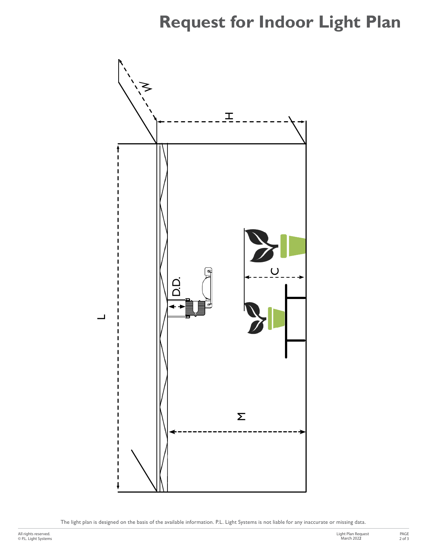## **Request for Indoor Light Plan**



The light plan is designed on the basis of the available information. P.L. Light Systems is not liable for any inaccurate or missing data.